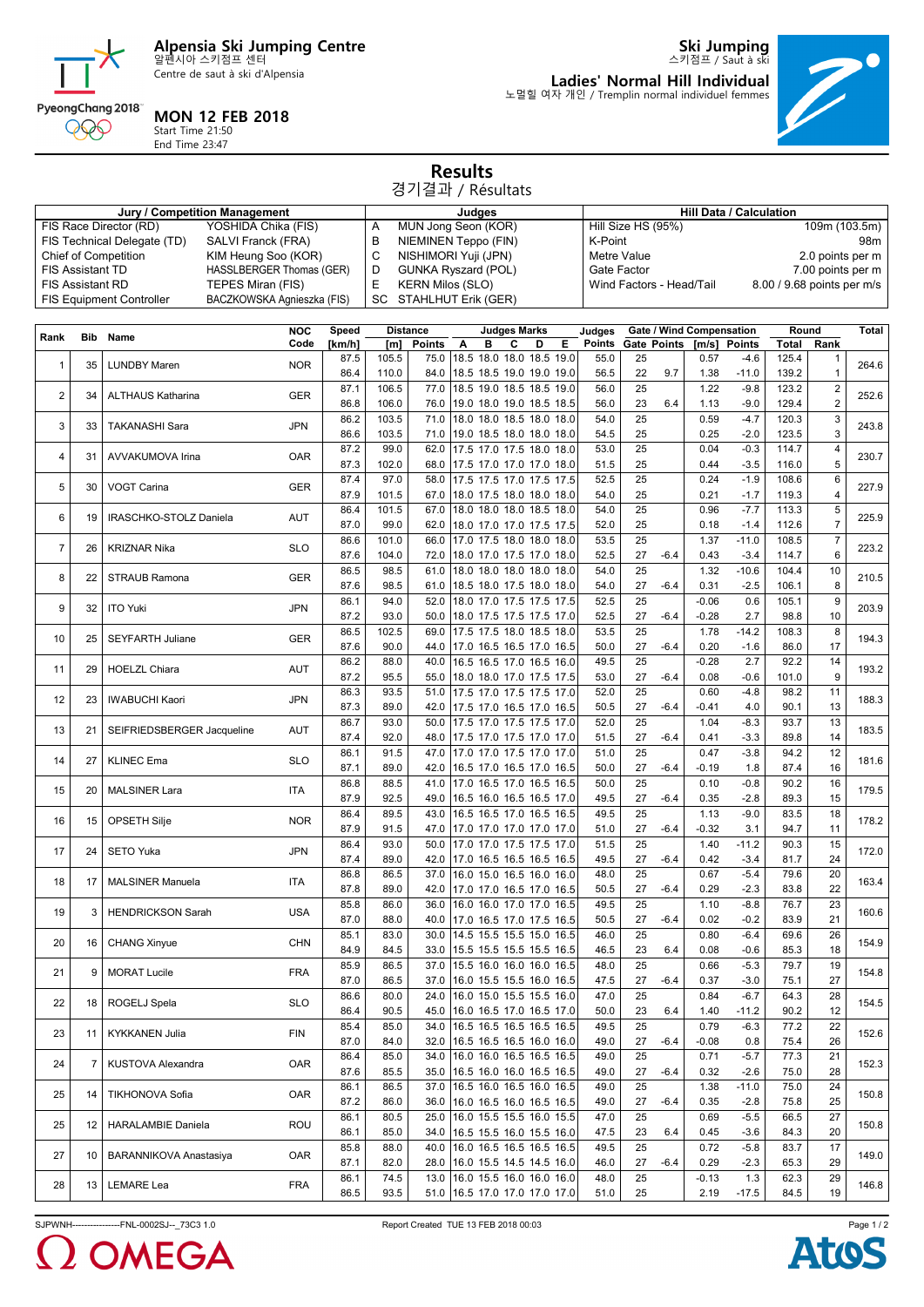

Centre de saut à ski d'Alpensia



**Ski Jumping** 스키점프 / Saut à ski **Ladies' Normal Hill Individual** 노멀힐 여자 개인 / Tremplin normal individuel femmes



## **MON 12 FEB 2018**

Start Time 21:50 End Time 23:47

## **Results** 경기결과 / Résultats

**Jury / Competition Management Judges Hill Data / Calculation**<br>
Computer (RD) YOSHIDA Chika (FIS) A MUN Jong Seon (KOR) Hill Size HS (95%)

|                |                         | FIS Race Director (RD)<br>YOSHIDA Chika (FIS)       |                                           | Α            | MUN Jong Seon (KOR)             |                                              |   |                                                      |   | Hill Size HS (95%) |                        |                    |                          | 109m (103.5m)<br>98m            |                   |                   |                              |              |  |
|----------------|-------------------------|-----------------------------------------------------|-------------------------------------------|--------------|---------------------------------|----------------------------------------------|---|------------------------------------------------------|---|--------------------|------------------------|--------------------|--------------------------|---------------------------------|-------------------|-------------------|------------------------------|--------------|--|
|                |                         | FIS Technical Delegate (TD)<br>Chief of Competition | SALVI Franck (FRA)<br>KIM Heung Soo (KOR) |              | B<br>C                          | NIEMINEN Teppo (FIN)<br>NISHIMORI Yuji (JPN) |   |                                                      |   |                    | K-Point<br>Metre Value |                    |                          |                                 | 2.0 points per m  |                   |                              |              |  |
|                | <b>FIS Assistant TD</b> |                                                     | HASSLBERGER Thomas (GER)                  |              | D<br><b>GUNKA Ryszard (POL)</b> |                                              |   |                                                      |   | Gate Factor        |                        |                    |                          |                                 |                   | 7.00 points per m |                              |              |  |
|                | <b>FIS Assistant RD</b> |                                                     | TEPES Miran (FIS)                         |              | E<br><b>KERN Milos (SLO)</b>    |                                              |   |                                                      |   |                    |                        |                    | Wind Factors - Head/Tail | 8.00 / 9.68 points per m/s      |                   |                   |                              |              |  |
|                |                         | <b>FIS Equipment Controller</b>                     | BACZKOWSKA Agnieszka (FIS)                |              |                                 | SC STAHLHUT Erik (GER)                       |   |                                                      |   |                    |                        |                    |                          |                                 |                   |                   |                              |              |  |
|                |                         |                                                     |                                           |              |                                 |                                              |   |                                                      |   |                    |                        |                    |                          |                                 |                   |                   |                              |              |  |
| Rank           | Bib                     | Name                                                | <b>NOC</b>                                | Speed        |                                 | <b>Distance</b>                              |   | <b>Judges Marks</b>                                  |   |                    | Judges                 |                    |                          | <b>Gate / Wind Compensation</b> |                   | Round             |                              | <b>Total</b> |  |
|                |                         |                                                     | Code                                      | [km/h]       | [m]                             | Points                                       | Α | в<br>C                                               | D | Е                  | <b>Points</b>          | <b>Gate Points</b> |                          | [m/s]                           | <b>Points</b>     | Total             | Rank                         |              |  |
| 1              | 35                      | <b>LUNDBY Maren</b>                                 | <b>NOR</b>                                | 87.5         | 105.5                           | 75.0                                         |   | 18.5 18.0 18.0 18.5 19.0                             |   |                    | 55.0                   | 25                 |                          | 0.57                            | $-4.6$            | 125.4             | 1                            | 264.6        |  |
|                |                         |                                                     |                                           | 86.4         | 110.0                           | 84.0                                         |   | 18.5 18.5 19.0 19.0 19.0                             |   |                    | 56.5                   | 22                 | 9.7                      | 1.38                            | $-11.0$           | 139.2             | $\mathbf{1}$                 |              |  |
| 2              | 34                      | <b>ALTHAUS Katharina</b>                            | <b>GER</b>                                | 87.1<br>86.8 | 106.5<br>106.0                  | 77.0<br>76.0                                 |   | 18.5 19.0 18.5 18.5 19.0                             |   |                    | 56.0<br>56.0           | 25<br>23           | 6.4                      | 1.22<br>1.13                    | $-9.8$<br>$-9.0$  | 123.2<br>129.4    | $\sqrt{2}$<br>$\overline{2}$ | 252.6        |  |
|                |                         |                                                     |                                           | 86.2         | 103.5                           | 71.0                                         |   | 19.0 18.0 19.0 18.5 18.5<br>18.0 18.0 18.5 18.0 18.0 |   |                    | 54.0                   | 25                 |                          | 0.59                            | $-4.7$            | 120.3             | 3                            |              |  |
| 3              | 33                      | <b>TAKANASHI Sara</b>                               | <b>JPN</b>                                | 86.6         | 103.5                           | 71.0                                         |   | 19.0 18.5 18.0 18.0 18.0                             |   |                    | 54.5                   | 25                 |                          | 0.25                            | $-2.0$            | 123.5             | 3                            | 243.8        |  |
|                |                         |                                                     |                                           | 87.2         | 99.0                            | 62.0                                         |   | 17.5 17.0 17.5 18.0 18.0                             |   |                    | 53.0                   | 25                 |                          | 0.04                            | $-0.3$            | 114.7             | 4                            |              |  |
| 4              | 31                      | AVVAKUMOVA Irina                                    | <b>OAR</b>                                | 87.3         | 102.0                           | 68.0                                         |   | 17.5 17.0 17.0 17.0 18.0                             |   |                    | 51.5                   | 25                 |                          | 0.44                            | $-3.5$            | 116.0             | 5                            | 230.7        |  |
|                |                         |                                                     |                                           | 87.4         | 97.0                            | 58.0                                         |   | 17.5 17.5 17.0 17.5 17.5                             |   |                    | 52.5                   | 25                 |                          | 0.24                            | $-1.9$            | 108.6             | 6                            |              |  |
| 5              | 30                      | VOGT Carina                                         | <b>GER</b>                                | 87.9         | 101.5                           | 67.0                                         |   | 18.0 17.5 18.0 18.0 18.0                             |   |                    | 54.0                   | 25                 |                          | 0.21                            | $-1.7$            | 119.3             | 4                            | 227.9        |  |
|                |                         |                                                     |                                           | 86.4         | 101.5                           | 67.0                                         |   | 18.0 18.0 18.0 18.5 18.0                             |   |                    | 54.0                   | 25                 |                          | 0.96                            | $-7.7$            | 113.3             | 5                            |              |  |
| 6              | 19                      | IRASCHKO-STOLZ Daniela                              | <b>AUT</b>                                | 87.0         | 99.0                            | 62.0                                         |   | 18.0 17.0 17.0 17.5 17.5                             |   |                    | 52.0                   | 25                 |                          | 0.18                            | $-1.4$            | 112.6             | $\overline{7}$               | 225.9        |  |
|                |                         |                                                     |                                           | 86.6         | 101.0                           | 66.0                                         |   | 17.0 17.5 18.0 18.0 18.0                             |   |                    | 53.5                   | 25                 |                          | 1.37                            | $-11.0$           | 108.5             | $\overline{7}$               |              |  |
| $\overline{7}$ | 26                      | <b>KRIZNAR Nika</b>                                 | <b>SLO</b>                                | 87.6         | 104.0                           | 72.0                                         |   | 18.0 17.0 17.5 17.0 18.0                             |   |                    | 52.5                   | 27                 | $-6.4$                   | 0.43                            | $-3.4$            | 114.7             | 6                            | 223.2        |  |
|                |                         | <b>STRAUB Ramona</b>                                |                                           | 86.5         | 98.5                            | 61.0                                         |   | 18.0 18.0 18.0 18.0 18.0                             |   |                    | 54.0                   | 25                 |                          | 1.32                            | $-10.6$           | 104.4             | 10                           |              |  |
| 8              | 22                      |                                                     | <b>GER</b>                                | 87.6         | 98.5                            | 61.0                                         |   | 18.5 18.0 17.5 18.0 18.0                             |   |                    | 54.0                   | 27                 | $-6.4$                   | 0.31                            | $-2.5$            | 106.1             | 8                            | 210.5        |  |
| 9              | 32                      | <b>ITO Yuki</b>                                     | <b>JPN</b>                                | 86.1         | 94.0                            | 52.0                                         |   | 18.0 17.0 17.5 17.5 17.5                             |   |                    | 52.5                   | 25                 |                          | $-0.06$                         | 0.6               | 105.1             | 9                            | 203.9        |  |
|                |                         |                                                     |                                           | 87.2         | 93.0                            | 50.0                                         |   | 18.0 17.5 17.5 17.5 17.0                             |   |                    | 52.5                   | 27                 | $-6.4$                   | $-0.28$                         | 2.7               | 98.8              | 10                           |              |  |
| 10             | 25                      | <b>SEYFARTH Juliane</b>                             | <b>GER</b>                                | 86.5         | 102.5                           | 69.0                                         |   | 17.5 17.5 18.0 18.5 18.0                             |   |                    | 53.5                   | 25                 |                          | 1.78                            | $-14.2$           | 108.3             | 8                            | 194.3        |  |
|                |                         |                                                     |                                           | 87.6         | 90.0                            | 44.0                                         |   | 17.0 16.5 16.5 17.0 16.5                             |   |                    | 50.0                   | 27                 | $-6.4$                   | 0.20                            | $-1.6$            | 86.0              | 17                           |              |  |
| 11             | 29                      | <b>HOELZL Chiara</b>                                | <b>AUT</b>                                | 86.2         | 88.0                            | 40.0                                         |   | 16.5 16.5 17.0 16.5 16.0                             |   |                    | 49.5                   | 25                 |                          | $-0.28$                         | 2.7               | 92.2              | 14                           | 193.2        |  |
|                |                         |                                                     |                                           | 87.2         | 95.5                            | 55.0                                         |   | 18.0 18.0 17.0 17.5 17.5                             |   |                    | 53.0                   | 27                 | $-6.4$                   | 0.08                            | $-0.6$            | 101.0             | 9                            |              |  |
| 12             | 23                      | <b>IWABUCHI Kaori</b>                               | <b>JPN</b>                                | 86.3         | 93.5                            | 51.0                                         |   | 17.5 17.0 17.5 17.5 17.0                             |   |                    | 52.0                   | 25                 |                          | 0.60                            | $-4.8$            | 98.2              | 11                           | 188.3        |  |
|                |                         |                                                     |                                           | 87.3         | 89.0                            | 42.0                                         |   | 17.5 17.0 16.5 17.0 16.5                             |   |                    | 50.5                   | 27                 | $-6.4$                   | $-0.41$                         | 4.0               | 90.1              | 13                           |              |  |
| 13             | 21                      | SEIFRIEDSBERGER Jacqueline                          | <b>AUT</b>                                | 86.7         | 93.0                            | 50.0                                         |   | 17.5 17.0 17.5 17.5 17.0                             |   |                    | 52.0                   | 25                 |                          | 1.04                            | $-8.3$            | 93.7              | 13                           | 183.5        |  |
|                |                         |                                                     |                                           | 87.4         | 92.0<br>91.5                    | 48.0                                         |   | 17.5 17.0 17.5 17.0 17.0                             |   |                    | 51.5                   | 27<br>25           | $-6.4$                   | 0.41<br>0.47                    | $-3.3$<br>$-3.8$  | 89.8<br>94.2      | 14<br>12                     |              |  |
| 14             | 27                      | <b>KLINEC Ema</b>                                   | <b>SLO</b>                                | 86.1<br>87.1 | 89.0                            | 47.0<br>42.0                                 |   | 17.0 17.0 17.5 17.0 17.0<br>16.5 17.0 16.5 17.0 16.5 |   |                    | 51.0<br>50.0           | 27                 | $-6.4$                   | $-0.19$                         | 1.8               | 87.4              | 16                           | 181.6        |  |
|                |                         |                                                     |                                           | 86.8         | 88.5                            | 41.0                                         |   | 17.0 16.5 17.0 16.5 16.5                             |   |                    | 50.0                   | 25                 |                          | 0.10                            | $-0.8$            | 90.2              | 16                           |              |  |
| 15             | 20                      | <b>MALSINER Lara</b>                                | <b>ITA</b>                                | 87.9         | 92.5                            | 49.0                                         |   | 16.5 16.0 16.5 16.5 17.0                             |   |                    | 49.5                   | 27                 | $-6.4$                   | 0.35                            | $-2.8$            | 89.3              | 15                           | 179.5        |  |
|                |                         |                                                     |                                           | 86.4         | 89.5                            | 43.0                                         |   | 16.5 16.5 17.0 16.5 16.5                             |   |                    | 49.5                   | 25                 |                          | 1.13                            | $-9.0$            | 83.5              | 18                           |              |  |
| 16             | 15                      | OPSETH Silje                                        | <b>NOR</b>                                | 87.9         | 91.5                            | 47.0                                         |   | 17.0 17.0 17.0 17.0 17.0                             |   |                    | 51.0                   | 27                 | $-6.4$                   | $-0.32$                         | 3.1               | 94.7              | 11                           | 178.2        |  |
|                |                         |                                                     |                                           | 86.4         | 93.0                            | 50.0                                         |   | 17.0 17.0 17.5 17.5 17.0                             |   |                    | 51.5                   | 25                 |                          | 1.40                            | $-11.2$           | 90.3              | 15                           |              |  |
| 17             | 24                      | <b>SETO Yuka</b>                                    | <b>JPN</b>                                | 87.4         | 89.0                            | 42.0                                         |   | 17.0 16.5 16.5 16.5 16.5                             |   |                    | 49.5                   | 27                 | $-6.4$                   | 0.42                            | $-3.4$            | 81.7              | 24                           | 172.0        |  |
|                |                         |                                                     |                                           | 86.8         | 86.5                            | 37.0                                         |   | 16.0 15.0 16.5 16.0 16.0                             |   |                    | 48.0                   | 25                 |                          | 0.67                            | $-5.4$            | 79.6              | 20                           |              |  |
| 18             | 17                      | <b>MALSINER Manuela</b>                             | ITA                                       | 87.8         | 89.0                            | 42.0                                         |   | 17.0 17.0 16.5 17.0 16.5                             |   |                    | 50.5                   | 27                 | $-6.4$                   | 0.29                            | $-2.3$            | 83.8              | 22                           | 163.4        |  |
|                |                         |                                                     | <b>USA</b>                                | 85.8         | 86.0                            | 36.0                                         |   | 16.0 16.0 17.0 17.0 16.5                             |   |                    | 49.5                   | 25                 |                          | 1.10                            | $-8.8$            | 76.7              | 23                           |              |  |
| 19             | 3                       | <b>HENDRICKSON Sarah</b>                            |                                           | 87.0         | 88.0                            | 40.0                                         |   | 17.0 16.5 17.0 17.5 16.5                             |   |                    | 50.5                   | 27                 | $-6.4$                   | 0.02                            | -0.2              | 83.9              | 21                           | 160.6        |  |
| 20             | 16                      | <b>CHANG Xinyue</b>                                 | <b>CHN</b>                                | 85.1         | 83.0                            | 30.0                                         |   | 14.5 15.5 15.5 15.0 16.5                             |   |                    | 46.0                   | 25                 |                          | 0.80                            | $-6.4$            | 69.6              | 26                           | 154.9        |  |
|                |                         |                                                     |                                           | 84.9         | 84.5                            | 33.0                                         |   | 15.5 15.5 15.5 15.5 16.5                             |   |                    | 46.5                   | 23                 | 6.4                      | 0.08                            | $-0.6$            | 85.3              | 18                           |              |  |
| 21             | 9                       | <b>MORAT Lucile</b>                                 | <b>FRA</b>                                | 85.9         | 86.5                            | 37.0                                         |   | 15.5 16.0 16.0 16.0 16.5                             |   |                    | 48.0                   | 25                 |                          | 0.66                            | $-5.3$            | 79.7              | 19                           | 154.8        |  |
|                |                         |                                                     |                                           | 87.0         | 86.5                            | 37.0                                         |   | 16.0 15.5 15.5 16.0 16.5                             |   |                    | 47.5                   | 27                 | $-6.4$                   | 0.37                            | $-3.0$            | 75.1              | 27                           |              |  |
| 22             | 18                      | ROGELJ Spela                                        | <b>SLO</b>                                | 86.6         | 80.0                            | 24.0                                         |   | 16.0 15.0 15.5 15.5 16.0                             |   |                    | 47.0                   | 25                 |                          | 0.84                            | $-6.7$            | 64.3              | 28                           | 154.5        |  |
|                |                         |                                                     |                                           | 86.4         | 90.5                            | 45.0                                         |   | 16.0 16.5 17.0 16.5 17.0                             |   |                    | 50.0                   | 23                 | 6.4                      | 1.40                            | $-11.2$           | 90.2              | 12                           |              |  |
| 23             | 11                      | <b>KYKKANEN Julia</b>                               | FIN                                       | 85.4         | 85.0                            | 34.0                                         |   | 16.5 16.5 16.5 16.5 16.5                             |   |                    | 49.5                   | 25                 |                          | 0.79                            | $-6.3$            | 77.2              | 22                           | 152.6        |  |
|                |                         |                                                     |                                           | 87.0         | 84.0                            | 32.0                                         |   | 16.5 16.5 16.5 16.0 16.0                             |   |                    | 49.0                   | 27                 | $-6.4$                   | $-0.08$                         | 0.8               | 75.4              | 26                           |              |  |
| 24             | 7                       | KUSTOVA Alexandra                                   | <b>OAR</b>                                | 86.4         | 85.0                            | 34.0                                         |   | 16.0 16.0 16.5 16.5 16.5                             |   |                    | 49.0                   | 25                 |                          | 0.71                            | $-5.7$            | 77.3              | 21<br>28                     | 152.3        |  |
|                |                         |                                                     |                                           | 87.6<br>86.1 | 85.5<br>86.5                    | 35.0<br>37.0                                 |   | 16.5 16.0 16.0 16.5 16.5<br>16.5 16.0 16.5 16.0 16.5 |   |                    | 49.0<br>49.0           | 27<br>25           | $-6.4$                   | 0.32<br>1.38                    | $-2.6$<br>$-11.0$ | 75.0<br>75.0      | 24                           |              |  |
| 25             | 14                      | TIKHONOVA Sofia                                     | <b>OAR</b>                                | 87.2         | 86.0                            | 36.0                                         |   | 16.0 16.5 16.0 16.5 16.5                             |   |                    | 49.0                   | 27                 | $-6.4$                   | 0.35                            | $-2.8$            | 75.8              | 25                           | 150.8        |  |
|                |                         |                                                     |                                           | 86.1         | 80.5                            | 25.0                                         |   | 16.0 15.5 15.5 16.0 15.5                             |   |                    | 47.0                   | 25                 |                          | 0.69                            | $-5.5$            | 66.5              | 27                           |              |  |
| 25             | 12 <sup>°</sup>         | <b>HARALAMBIE Daniela</b>                           | ROU                                       | 86.1         | 85.0                            | 34.0                                         |   | 16.5 15.5 16.0 15.5 16.0                             |   |                    | 47.5                   | 23                 | 6.4                      | 0.45                            | $-3.6$            | 84.3              | 20                           | 150.8        |  |
|                |                         |                                                     |                                           | 85.8         | 88.0                            | 40.0                                         |   | 16.0 16.5 16.5 16.5 16.5                             |   |                    | 49.5                   | 25                 |                          | 0.72                            | $-5.8$            | 83.7              | 17                           |              |  |
| 27             | 10                      | BARANNIKOVA Anastasiya                              | <b>OAR</b>                                | 87.1         | 82.0                            | 28.0                                         |   | 16.0 15.5 14.5 14.5 16.0                             |   |                    | 46.0                   | 27                 | $-6.4$                   | 0.29                            | $-2.3$            | 65.3              | 29                           | 149.0        |  |
|                |                         |                                                     |                                           | 86.1         | 74.5                            | 13.0                                         |   | 16.0 15.5 16.0 16.0 16.0                             |   |                    | 48.0                   | 25                 |                          | $-0.13$                         | 1.3               | 62.3              | 29                           |              |  |
| 28             | 13                      | <b>LEMARE Lea</b>                                   | <b>FRA</b>                                | 86.5         | 93.5                            |                                              |   | 51.0 16.5 17.0 17.0 17.0 17.0                        |   |                    | 51.0                   | 25                 |                          | 2.19                            | $-17.5$           | 84.5              | 19                           | 146.8        |  |
|                |                         |                                                     |                                           |              |                                 |                                              |   |                                                      |   |                    |                        |                    |                          |                                 |                   |                   |                              |              |  |

SJPWNH----------------FNL-0002SJ--\_73C3 1.0 Report Created TUE 13 FEB 2018 00:03